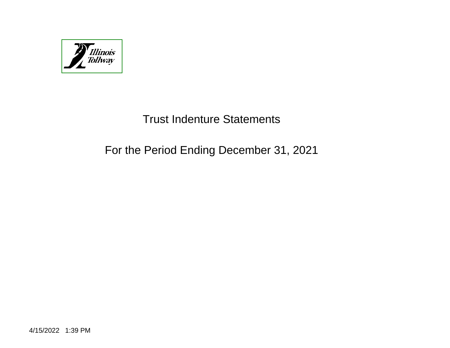

# Trust Indenture Statements

# For the Period Ending December 31, 2021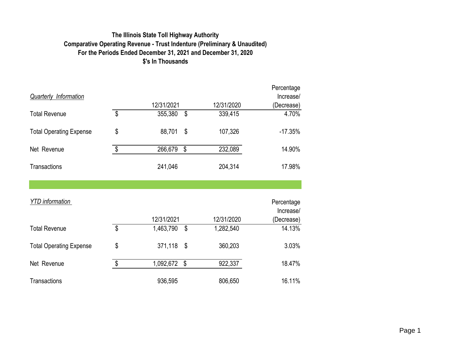# **The Illinois State Toll Highway Authority Comparative Operating Revenue - Trust Indenture (Preliminary & Unaudited) For the Periods Ended December 31, 2021 and December 31, 2020 \$'s In Thousands**

|                                |                           |            |                           |            | Percentage |
|--------------------------------|---------------------------|------------|---------------------------|------------|------------|
| <b>Quarterly Information</b>   |                           |            |                           |            | Increase/  |
|                                |                           | 12/31/2021 |                           | 12/31/2020 | (Decrease) |
| <b>Total Revenue</b>           | $\boldsymbol{\mathsf{S}}$ | 355,380    | \$                        | 339,415    | 4.70%      |
| <b>Total Operating Expense</b> | \$                        | 88,701     | \$                        | 107,326    | $-17.35%$  |
| Net Revenue                    | \$                        | 266,679    | \$                        | 232,089    | 14.90%     |
| <b>Transactions</b>            |                           | 241,046    |                           | 204,314    | 17.98%     |
|                                |                           |            |                           |            |            |
| <b>YTD</b> information         |                           |            |                           |            | Percentage |
|                                |                           |            |                           |            | Increase/  |
|                                |                           | 12/31/2021 |                           | 12/31/2020 | (Decrease) |
| <b>Total Revenue</b>           | $\boldsymbol{\mathsf{S}}$ | 1,463,790  | \$                        | 1,282,540  | 14.13%     |
| <b>Total Operating Expense</b> | \$                        | 371,118    | $\boldsymbol{\mathsf{S}}$ | 360,203    | 3.03%      |
| Net Revenue                    | \$                        | 1,092,672  | \$                        | 922,337    | 18.47%     |
| <b>Transactions</b>            |                           | 936,595    |                           | 806,650    | 16.11%     |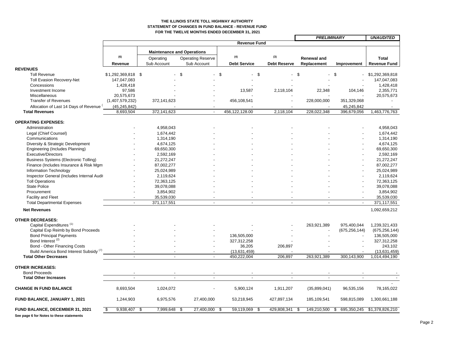### **THE ILLINOIS STATE TOLL HIGHWAY AUTHORITY STATEMENT OF CHANGES IN FUND BALANCE - REVENUE FUND FOR THE TWELVE MONTHS ENDED DECEMBER 31, 2021**

÷

|                                                    |                     |                 |                                   |                     |                     | <b>PRELIMINARY</b>             |                   | <b>UNAUDITED</b>    |
|----------------------------------------------------|---------------------|-----------------|-----------------------------------|---------------------|---------------------|--------------------------------|-------------------|---------------------|
|                                                    |                     |                 |                                   | <b>Revenue Fund</b> |                     |                                |                   |                     |
|                                                    |                     |                 | <b>Maintenance and Operations</b> |                     |                     |                                |                   |                     |
|                                                    | (6)                 | Operating       | <b>Operating Reserve</b>          | (4)                 | (3)                 | Renewal and                    |                   | <b>Total</b>        |
|                                                    | Revenue             | Sub Account     | Sub Account                       | <b>Debt Service</b> | <b>Debt Reserve</b> | Replacement                    | Improvement       | <b>Revenue Fund</b> |
| <b>REVENUES</b>                                    |                     |                 |                                   |                     |                     |                                |                   |                     |
| <b>Toll Revenue</b>                                | $$1,292,369,818$ \$ |                 | \$                                | \$                  | \$                  | \$<br>$\overline{\phantom{a}}$ | $\mathfrak s$     | \$1,292,369,818     |
| Toll Evasion Recovery-Net                          | 147,047,083         |                 |                                   |                     |                     |                                |                   | 147,047,083         |
| Concessions                                        | 1,428,418           |                 |                                   |                     |                     |                                |                   | 1,428,418           |
| Investment Income                                  | 97,586              |                 |                                   | 13,587              | 2,118,104           | 22,348                         | 104,146           | 2,355,771           |
| Miscellaneous                                      | 20,575,673          |                 |                                   |                     |                     |                                |                   | 20,575,673          |
| <b>Transfer of Revenues</b>                        | (1,407,579,232)     | 372,141,623     |                                   | 456,108,541         |                     | 228,000,000                    | 351,329,068       |                     |
| Allocation of Last 14 Days of Revenue              | (45, 245, 842)      |                 |                                   |                     |                     |                                | 45,245,842        |                     |
| <b>Total Revenues</b>                              | 8,693,504           | 372,141,623     | $\sim$                            | 456,122,128.00      | 2,118,104           | 228,022,348                    | 396,679,056       | 1,463,776,763       |
|                                                    |                     |                 |                                   |                     |                     |                                |                   |                     |
| <b>OPERATING EXPENSES:</b>                         |                     |                 |                                   |                     |                     |                                |                   |                     |
| Administration                                     |                     | 4,958,043       |                                   |                     |                     |                                |                   | 4,958,043           |
| Legal (Chief Counsel)                              |                     | 1,674,442       |                                   |                     |                     |                                |                   | 1,674,442           |
| Communications                                     |                     | 1,314,190       |                                   |                     |                     |                                |                   | 1,314,190           |
| Diversity & Strategic Development                  |                     | 4,674,125       |                                   |                     |                     |                                |                   | 4,674,125           |
| Engineering (Includes Planning)                    |                     | 69,650,300      |                                   |                     |                     |                                |                   | 69,650,300          |
| <b>Executive/Directors</b>                         |                     | 2,592,169       |                                   |                     |                     |                                |                   | 2,592,169           |
| <b>Business Systems (Electronic Tolling)</b>       |                     | 21,272,247      |                                   |                     |                     |                                |                   | 21,272,247          |
| Finance (Includes Insurance & Risk Mgm             |                     | 87,002,277      |                                   |                     |                     |                                |                   | 87,002,277          |
| <b>Information Technology</b>                      |                     | 25,024,989      |                                   |                     |                     |                                |                   | 25,024,989          |
| Inspector General (Includes Internal Audit         |                     | 2,119,624       |                                   |                     |                     |                                |                   | 2,119,624           |
| <b>Toll Operations</b>                             |                     | 72,363,125      |                                   |                     |                     |                                |                   | 72,363,125          |
| <b>State Police</b>                                |                     | 39,078,088      |                                   |                     |                     |                                |                   | 39,078,088          |
| Procurement                                        |                     | 3,854,902       |                                   |                     |                     |                                |                   | 3,854,902           |
| Facility and Fleet                                 |                     | 35,539,030      |                                   |                     |                     |                                |                   | 35,539,030          |
| <b>Total Departmental Expenses</b>                 | $\overline{a}$      | 371,117,551     | $\overline{\phantom{a}}$          |                     | $\overline{a}$      |                                | $\blacksquare$    | 371,117,551         |
| <b>Net Revenues</b>                                |                     |                 |                                   |                     |                     |                                |                   | 1,092,659,212       |
| <b>OTHER DECREASES:</b>                            |                     |                 |                                   |                     |                     |                                |                   |                     |
| Capital Expenditures <sup>(1)</sup>                |                     |                 |                                   |                     |                     | 263,921,389                    | 975,400,044       | 1,239,321,433       |
| Capital Exp Reimb by Bond Proceeds                 |                     |                 |                                   |                     |                     |                                | (675, 256, 144)   | (675, 256, 144)     |
| <b>Bond Principal Payments</b>                     |                     |                 |                                   | 136,505,000         |                     |                                |                   | 136,505,000         |
| Bond Interest <sup>(2)</sup>                       |                     |                 |                                   | 327,312,258         |                     |                                |                   | 327,312,258         |
| Bond - Other Financing Costs                       |                     |                 |                                   | 36,205              | 206,897             |                                |                   | 243,102             |
| Build America Bond Interest Subsidy <sup>(7)</sup> |                     |                 |                                   | (13,631,459)        |                     |                                |                   | (13,631,459)        |
| <b>Total Other Decreases</b>                       |                     |                 | $\overline{\phantom{a}}$          | 450,222,004         | 206,897             | 263,921,389                    | 300,143,900       | 1,014,494,190       |
| <b>OTHER INCREASES:</b>                            |                     |                 |                                   |                     |                     |                                |                   |                     |
| <b>Bond Proceeds</b>                               |                     |                 |                                   |                     |                     |                                |                   |                     |
| <b>Total Other Increases</b>                       | $\overline{a}$      | $\overline{a}$  | $\overline{a}$                    | $\overline{a}$      | $\overline{a}$      |                                | $\overline{a}$    |                     |
| <b>CHANGE IN FUND BALANCE</b>                      | 8,693,504           | 1,024,072       |                                   | 5,900,124           | 1.911.207           | (35,899,041)                   | 96,535,156        | 78,165,022          |
|                                                    |                     |                 |                                   |                     |                     |                                |                   |                     |
| FUND BALANCE, JANUARY 1, 2021                      | 1,244,903           | 6,975,576       | 27,400,000                        | 53,218,945          | 427,897,134         | 185,109,541                    | 598,815,089       | 1,300,661,188       |
| <b>FUND BALANCE, DECEMBER 31, 2021</b>             | 9,938,407<br>\$     | \$<br>7,999,648 | 27,400,000<br>-\$                 | 59,119,069<br>-\$   | \$<br>429,808,341   | 149,210,500<br>\$              | 695,350,245<br>\$ | \$1,378,826,210     |
| See page 6 for Notes to these statements           |                     |                 |                                   |                     |                     |                                |                   |                     |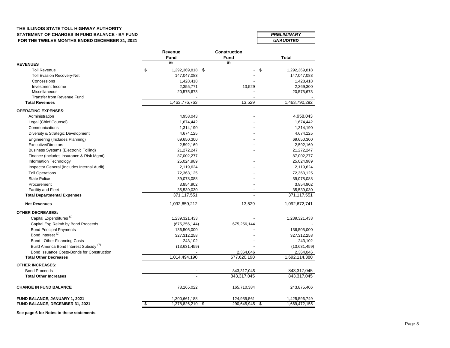## **THE ILLINOIS STATE TOLL HIGHWAY AUTHORITY STATEMENT OF CHANGES IN FUND BALANCE - BY FUND FOR THE TWELVE MONTHS ENDED DECEMBER 31, 2021** *UNAUDITED*

| <b>PRELIMINARY</b> |  |
|--------------------|--|
| IINAIINITEN        |  |

|                                                    | Revenue                | <b>Construction</b>     |               |  |
|----------------------------------------------------|------------------------|-------------------------|---------------|--|
|                                                    | <b>Fund</b>            | <b>Fund</b>             | <b>Total</b>  |  |
| <b>REVENUES</b>                                    | (6)                    | (5)                     |               |  |
| <b>Toll Revenue</b>                                | \$<br>1,292,369,818 \$ | \$                      | 1,292,369,818 |  |
| <b>Toll Evasion Recovery-Net</b>                   | 147,047,083            |                         | 147,047,083   |  |
| Concessions                                        | 1,428,418              |                         | 1,428,418     |  |
| Investment Income                                  | 2,355,771              | 13,529                  | 2,369,300     |  |
| Miscellaneous                                      | 20,575,673             |                         | 20,575,673    |  |
| Transfer from Revenue Fund                         |                        |                         |               |  |
| <b>Total Revenues</b>                              | 1,463,776,763          | 13,529                  | 1,463,790,292 |  |
| <b>OPERATING EXPENSES:</b>                         |                        |                         |               |  |
| Administration                                     | 4,958,043              |                         | 4,958,043     |  |
| Legal (Chief Counsel)                              | 1,674,442              |                         | 1,674,442     |  |
| Communications                                     | 1,314,190              |                         | 1,314,190     |  |
| Diversity & Strategic Development                  | 4,674,125              |                         | 4,674,125     |  |
| Engineering (Includes Planning)                    | 69,650,300             |                         | 69,650,300    |  |
| <b>Executive/Directors</b>                         | 2,592,169              |                         | 2,592,169     |  |
| Business Systems (Electronic Tolling)              | 21,272,247             |                         | 21,272,247    |  |
| Finance (Includes Insurance & Risk Mgmt)           | 87,002,277             |                         | 87,002,277    |  |
| Information Technology                             | 25,024,989             |                         | 25,024,989    |  |
| Inspector General (Includes Internal Audit)        | 2,119,624              |                         | 2,119,624     |  |
| <b>Toll Operations</b>                             | 72,363,125             |                         | 72,363,125    |  |
| <b>State Police</b>                                | 39,078,088             |                         | 39,078,088    |  |
| Procurement                                        | 3,854,902              |                         | 3,854,902     |  |
| <b>Facility and Fleet</b>                          | 35,539,030             |                         | 35,539,030    |  |
| <b>Total Departmental Expenses</b>                 | 371,117,551            |                         | 371,117,551   |  |
| <b>Net Revenues</b>                                | 1,092,659,212          | 13,529                  | 1,092,672,741 |  |
| <b>OTHER DECREASES:</b>                            |                        |                         |               |  |
| Capital Expenditures <sup>(1)</sup>                | 1,239,321,433          |                         | 1,239,321,433 |  |
| Capital Exp Reimb by Bond Proceeds                 | (675, 256, 144)        | 675,256,144             |               |  |
| <b>Bond Principal Payments</b>                     | 136,505,000            |                         | 136,505,000   |  |
| Bond Interest <sup>(2)</sup>                       | 327,312,258            |                         | 327,312,258   |  |
| <b>Bond - Other Financing Costs</b>                | 243,102                |                         | 243,102       |  |
| Build America Bond Interest Subsidy <sup>(7)</sup> | (13,631,459)           |                         | (13,631,459)  |  |
| Bond Issuance Costs-Bonds for Construction         |                        | 2,364,046               | 2,364,046     |  |
| <b>Total Other Decreases</b>                       | 1,014,494,190          | 677,620,190             | 1,692,114,380 |  |
| <b>OTHER INCREASES:</b>                            |                        |                         |               |  |
| <b>Bond Proceeds</b>                               |                        | 843,317,045             | 843,317,045   |  |
| <b>Total Other Increases</b>                       |                        | 843,317,045             | 843,317,045   |  |
| <b>CHANGE IN FUND BALANCE</b>                      | 78,165,022             | 165,710,384             | 243,875,406   |  |
| FUND BALANCE, JANUARY 1, 2021                      | 1,300,661,188          | 124,935,561             | 1,425,596,749 |  |
| <b>FUND BALANCE, DECEMBER 31, 2021</b>             | \$<br>1,378,826,210    | \$<br>290,645,945<br>\$ | 1,669,472,155 |  |

**See page 6 for Notes to these statements**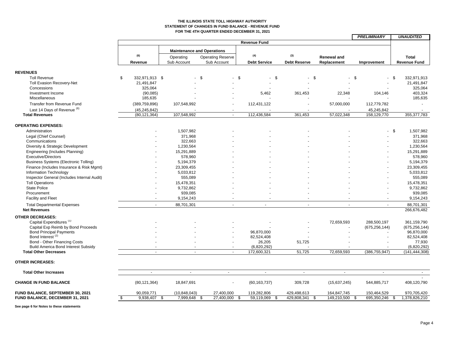#### **THE ILLINOIS STATE TOLL HIGHWAY AUTHORITY STATEMENT OF CHANGES IN FUND BALANCE - REVENUE FUND FOR THE 4TH QUARTER ENDED DECEMBER 31, 2021**

|                                              |                      |                          |                                         |                     |                     |                     |                                   | <b>PRELIMINARY</b> | <b>UNAUDITED</b>                    |
|----------------------------------------------|----------------------|--------------------------|-----------------------------------------|---------------------|---------------------|---------------------|-----------------------------------|--------------------|-------------------------------------|
|                                              |                      |                          |                                         | <b>Revenue Fund</b> |                     |                     |                                   |                    |                                     |
|                                              | (6)                  |                          | <b>Maintenance and Operations</b>       | (4)                 |                     | (3)                 |                                   |                    |                                     |
|                                              | Revenue              | Operating<br>Sub Account | <b>Operating Reserve</b><br>Sub Account |                     | <b>Debt Service</b> | <b>Debt Reserve</b> | <b>Renewal and</b><br>Replacement | Improvement        | <b>Total</b><br><b>Revenue Fund</b> |
|                                              |                      |                          |                                         |                     |                     |                     |                                   |                    |                                     |
| <b>REVENUES</b>                              |                      |                          |                                         |                     |                     |                     |                                   |                    |                                     |
| <b>Toll Revenue</b>                          | \$<br>332,971,913 \$ |                          | - \$<br>$\blacksquare$                  | - \$                | \$                  | $\sim$              | - \$                              | \$                 | 332,971,913<br>\$.                  |
| Toll Evasion Recovery-Net                    | 21,491,847           |                          |                                         |                     |                     |                     |                                   |                    | 21,491,847                          |
| Concessions                                  | 325,064              |                          |                                         |                     |                     |                     |                                   |                    | 325,064                             |
| Investment Income                            | (90,085)             |                          |                                         |                     | 5,462               | 361,453             | 22,348                            | 104,146            | 403,324                             |
| Miscellaneous                                | 185,635              |                          |                                         |                     |                     |                     |                                   |                    | 185,635                             |
| Transfer from Revenue Fund                   | (389, 759, 896)      | 107,548,992              |                                         |                     | 112,431,122         |                     | 57,000,000                        | 112,779,782        |                                     |
| Last 14 Days of Revenue (6)                  | (45, 245, 842)       |                          |                                         |                     |                     |                     |                                   | 45,245,842         |                                     |
| <b>Total Revenues</b>                        | (80, 121, 364)       | 107,548,992              | $\sim$                                  |                     | 112,436,584         | 361,453             | 57,022,348                        | 158,129,770        | 355, 377, 783                       |
|                                              |                      |                          |                                         |                     |                     |                     |                                   |                    |                                     |
| <b>OPERATING EXPENSES:</b>                   |                      |                          |                                         |                     |                     |                     |                                   |                    |                                     |
| Administration                               |                      | 1,507,982                |                                         |                     |                     |                     |                                   | $\sim$             | \$<br>1,507,982                     |
| Legal (Chief Counsel)                        |                      | 371,968                  |                                         |                     |                     |                     |                                   |                    | 371,968                             |
| Communications                               |                      | 322,663                  |                                         |                     |                     |                     |                                   |                    | 322,663                             |
| Diversity & Strategic Development            |                      | 1,230,564                |                                         |                     |                     |                     |                                   |                    | 1,230,564                           |
| Engineering (Includes Planning)              |                      | 15,291,889               |                                         |                     |                     |                     |                                   |                    | 15,291,889                          |
| <b>Executive/Directors</b>                   |                      | 578,960                  |                                         |                     |                     |                     |                                   |                    | 578,960                             |
| <b>Business Systems (Electronic Tolling)</b> |                      | 5,194,379                |                                         |                     |                     |                     |                                   |                    | 5,194,379                           |
| Finance (Includes Insurance & Risk Mgmt)     |                      | 23,309,455               |                                         |                     |                     |                     |                                   |                    | 23,309,455                          |
| Information Technology                       |                      | 5,033,812                |                                         |                     |                     |                     |                                   |                    | 5,033,812                           |
| Inspector General (Includes Internal Audit)  |                      | 555,089                  |                                         |                     |                     |                     |                                   |                    | 555,089                             |
|                                              |                      |                          |                                         |                     |                     |                     |                                   |                    |                                     |
| <b>Toll Operations</b>                       |                      | 15,478,351               |                                         |                     |                     |                     |                                   |                    | 15,478,351                          |
| <b>State Police</b>                          |                      | 9,732,862                |                                         |                     |                     |                     |                                   |                    | 9,732,862                           |
| Procurement                                  |                      | 939,085                  |                                         |                     |                     |                     |                                   |                    | 939,085                             |
| <b>Facility and Fleet</b>                    |                      | 9,154,243                |                                         |                     |                     |                     |                                   |                    | 9,154,243                           |
| <b>Total Departmental Expenses</b>           | $\overline{a}$       | 88,701,301               | $\overline{a}$                          |                     | $\sim$              | $\sim$              | $\overline{\phantom{a}}$          | $\sim$             | 88,701,301                          |
| <b>Net Revenues</b>                          |                      |                          |                                         |                     |                     |                     |                                   |                    | 266,676,482                         |
| <b>OTHER DECREASES:</b>                      |                      |                          |                                         |                     |                     |                     |                                   |                    |                                     |
| Capital Expenditures <sup>(1)</sup>          |                      |                          |                                         |                     |                     |                     | 72.659.593                        | 288.500.197        | 361.159.790                         |
| Capital Exp Reimb by Bond Proceeds           |                      |                          |                                         |                     |                     |                     |                                   | (675, 256, 144)    | (675, 256, 144)                     |
| <b>Bond Principal Payments</b>               |                      |                          |                                         |                     | 96,870,000          |                     |                                   |                    | 96,870,000                          |
| Bond Interest <sup>(2)</sup>                 |                      |                          |                                         |                     | 82,524,408          |                     |                                   |                    | 82,524,408                          |
| Bond - Other Financing Costs                 |                      |                          |                                         |                     | 26,205              | 51,725              |                                   |                    | 77,930                              |
| <b>Build America Bond Interest Subsidy</b>   |                      |                          |                                         |                     | (6,820,292)         |                     |                                   |                    | (6,820,292)                         |
| <b>Total Other Decreases</b>                 |                      | $\overline{\phantom{a}}$ |                                         |                     | 172,600,321         | 51.725              | 72,659,593                        | (386, 755, 947)    | (141, 444, 308)                     |
| <b>OTHER INCREASES:</b>                      |                      |                          |                                         |                     |                     |                     |                                   |                    |                                     |
| <b>Total Other Increases</b>                 | $\sim$               | $\sim$                   | $\sim$                                  |                     | $\sim$              | $\sim$              | $\sim$                            | $\blacksquare$     | $\sim$                              |
| <b>CHANGE IN FUND BALANCE</b>                | (80, 121, 364)       | 18,847,691               | ä,                                      |                     | (60, 163, 737)      | 309,728             | (15,637,245)                      | 544,885,717        | 408,120,790                         |
|                                              |                      |                          |                                         |                     |                     |                     |                                   |                    |                                     |
| FUND BALANCE, SEPTEMBER 30, 2021             | 90,059,771           | (10, 848, 043)           | 27,400,000                              |                     | 119,282,806         | 429,498,613         | 164,847,745                       | 150,464,529        | 970,705,420                         |
| FUND BALANCE, DECEMBER 31, 2021              | 9,938,407<br>\$      | 7,999,648<br>- \$        | 27,400,000<br>-\$                       | \$                  | 59,119,069<br>\$    | 429,808,341         | 149,210,500<br>\$                 | 695,350,246<br>-\$ | 1,378,826,210<br>\$                 |

**See page 6 for Notes to these statements**

┑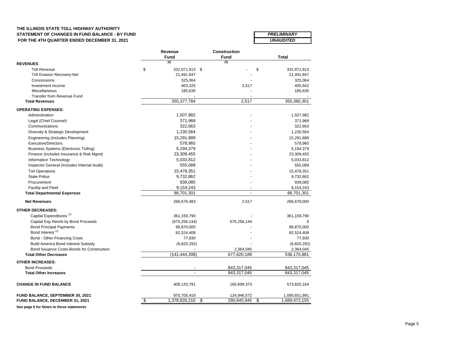# **THE ILLINOIS STATE TOLL HIGHWAY AUTHORITY** STATEMENT OF CHANGES IN FUND BALANCE - BY FUND<br>FOR THE 4TH QUARTER ENDED DECEMBER 31, 2021  **FOR THE 4TH QUARTER ENDED DECEMBER 31, 2021**

| <b>PRELIMINARY</b>      |  |
|-------------------------|--|
|                         |  |
| <i><b>UNAUDITED</b></i> |  |

|                                              | Revenue              | <b>Construction</b> |                     |
|----------------------------------------------|----------------------|---------------------|---------------------|
|                                              | Fund                 | <b>Fund</b>         | Total               |
| <b>REVENUES</b>                              | (6)                  | (5)                 |                     |
| <b>Toll Revenue</b>                          | \$<br>332,971,913 \$ |                     | \$<br>332,971,913   |
| <b>Toll Evasion Recovery-Net</b>             | 21,491,847           |                     | 21,491,847          |
| Concessions                                  | 325,064              |                     | 325,064             |
| Investment Income                            | 403,325              | 2,517               | 405,842             |
| Miscellaneous                                | 185,635              |                     | 185,635             |
| <b>Transfer from Revenue Fund</b>            |                      |                     |                     |
| <b>Total Revenues</b>                        | 355, 377, 784        | 2,517               | 355,380,301         |
| <b>OPERATING EXPENSES:</b>                   |                      |                     |                     |
| Administration                               | 1,507,982            |                     | 1,507,982           |
| Legal (Chief Counsel)                        | 371,968              |                     | 371,968             |
| Communications                               | 322,663              |                     | 322,663             |
| Diversity & Strategic Development            | 1,230,564            |                     | 1,230,564           |
| Engineering (Includes Planning)              | 15,291,889           |                     | 15,291,889          |
| <b>Executive/Directors</b>                   | 578,960              |                     | 578,960             |
| <b>Business Systems (Electronic Tolling)</b> | 5,194,379            |                     | 5,194,379           |
| Finance (Includes Insurance & Risk Mgmt)     | 23,309,455           |                     | 23,309,455          |
| Information Technology                       | 5,033,812            |                     | 5,033,812           |
| Inspector General (Includes Internal Audit)  | 555,089              |                     | 555,089             |
| <b>Toll Operations</b>                       | 15,478,351           |                     | 15,478,351          |
| <b>State Police</b>                          | 9,732,862            |                     | 9,732,862           |
| Procurement                                  | 939,085              |                     | 939,085             |
| <b>Facility and Fleet</b>                    | 9,154,243            |                     | 9,154,243           |
| <b>Total Departmental Expenses</b>           | 88,701,301           |                     | 88,701,301          |
| <b>Net Revenues</b>                          | 266,676,483          | 2,517               | 266,679,000         |
| <b>OTHER DECREASES:</b>                      |                      |                     |                     |
| Capital Expenditures <sup>(1)</sup>          | 361,159,790          |                     | 361,159,790         |
| Capital Exp Reimb by Bond Proceeds           | (675, 256, 144)      | 675,256,144         | $\Omega$            |
| <b>Bond Principal Payments</b>               | 96,870,000           |                     | 96,870,000          |
| Bond Interest <sup>(2)</sup>                 | 82,524,408           |                     | 82,524,408          |
| Bond - Other Financing Costs                 | 77,930               |                     | 77,930              |
| <b>Build America Bond Interest Subsidy</b>   | (6,820,292)          |                     | (6,820,292)         |
| Bond Issuance Costs-Bonds for Construction   |                      | 2,364,045           | 2,364,045           |
| <b>Total Other Decreases</b>                 | (141, 444, 308)      | 677,620,189         | 536,175,881         |
| <b>OTHER INCREASES:</b>                      |                      |                     |                     |
| <b>Bond Proceeds</b>                         |                      | 843,317,045         | 843,317,045         |
| <b>Total Other Increases</b>                 |                      | 843,317,045         | 843,317,045         |
| <b>CHANGE IN FUND BALANCE</b>                | 408,120,791          | 165,699,373         | 573,820,164         |
| FUND BALANCE, SEPTEMBER 30, 2021             | 970,705,419          | 124,946,572         | 1,095,651,991       |
| FUND BALANCE, DECEMBER 31, 2021              | \$<br>1,378,826,210  | \$<br>290,645,945   | \$<br>1,669,472,155 |

**See page 6 for Notes to these statements**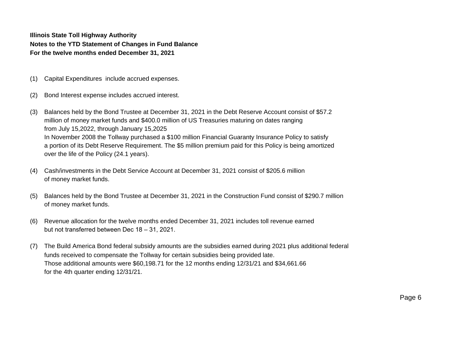**Illinois State Toll Highway Authority Notes to the YTD Statement of Changes in Fund Balance For the twelve months ended December 31, 2021**

- (1) Capital Expenditures include accrued expenses.
- (2) Bond Interest expense includes accrued interest.
- (3) Balances held by the Bond Trustee at December 31, 2021 in the Debt Reserve Account consist of \$57.2 million of money market funds and \$400.0 million of US Treasuries maturing on dates ranging from July 15,2022, through January 15,2025 In November 2008 the Tollway purchased a \$100 million Financial Guaranty Insurance Policy to satisfy a portion of its Debt Reserve Requirement. The \$5 million premium paid for this Policy is being amortized over the life of the Policy (24.1 years).
- (4) Cash/investments in the Debt Service Account at December 31, 2021 consist of \$205.6 million of money market funds.
- (5) Balances held by the Bond Trustee at December 31, 2021 in the Construction Fund consist of \$290.7 million of money market funds.
- (6) Revenue allocation for the twelve months ended December 31, 2021 includes toll revenue earned but not transferred between Dec 18 – 31, 2021.
- (7) The Build America Bond federal subsidy amounts are the subsidies earned during 2021 plus additional federal funds received to compensate the Tollway for certain subsidies being provided late. Those additional amounts were \$60,198.71 for the 12 months ending 12/31/21 and \$34,661.66 for the 4th quarter ending 12/31/21.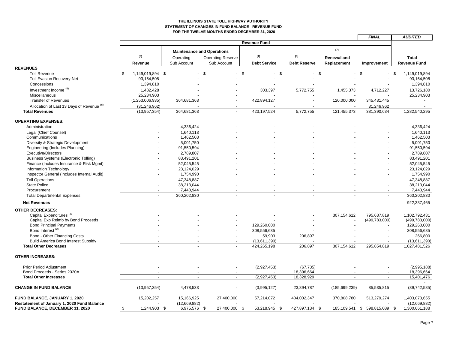### **THE ILLINOIS STATE TOLL HIGHWAY AUTHORITY STATEMENT OF CHANGES IN FUND BALANCE - REVENUE FUND FOR THE TWELVE MONTHS ENDED DECEMBER 31, 2020**

|                                              |                                    |                |                                   |                     |                     |                                | <b>FINAL</b>             | <b>AUDITED</b>       |
|----------------------------------------------|------------------------------------|----------------|-----------------------------------|---------------------|---------------------|--------------------------------|--------------------------|----------------------|
|                                              |                                    |                |                                   | <b>Revenue Fund</b> |                     |                                |                          |                      |
|                                              |                                    |                | <b>Maintenance and Operations</b> |                     |                     | (7)                            |                          |                      |
|                                              | (6)                                | Operating      | <b>Operating Reserve</b>          | (4)                 | (3)                 | <b>Renewal and</b>             |                          | <b>Total</b>         |
|                                              | Revenue                            | Sub Account    | Sub Account                       | <b>Debt Service</b> | <b>Debt Reserve</b> | Replacement                    | Improvement              | <b>Revenue Fund</b>  |
| <b>REVENUES</b>                              |                                    |                |                                   |                     |                     |                                |                          |                      |
| <b>Toll Revenue</b>                          | \$<br>1,149,019,894 \$             |                | - \$                              | $-$ \$              | - \$                | \$<br>$\overline{\phantom{0}}$ | \$                       | -\$<br>1,149,019,894 |
| <b>Toll Evasion Recovery-Net</b>             | 93,164,508                         |                |                                   |                     |                     |                                |                          | 93,164,508           |
| Concessions                                  | 1,394,810                          |                |                                   |                     |                     |                                |                          | 1,394,810            |
| Investment Income <sup>(8)</sup>             | 1,482,428                          |                |                                   | 303,397             | 5,772,755           | 1,455,373                      | 4,712,227                | 13,726,180           |
| Miscellaneous                                | 25,234,903                         |                |                                   |                     |                     |                                |                          | 25,234,903           |
| <b>Transfer of Revenues</b>                  | (1,253,006,935)                    | 364,681,363    |                                   | 422,894,127         |                     | 120,000,000                    | 345,431,445              |                      |
| Allocation of Last 13 Days of Revenue (6)    | (31, 246, 962)                     |                |                                   |                     |                     |                                | 31,246,962               |                      |
| <b>Total Revenues</b>                        | (13, 957, 354)                     | 364,681,363    | $\sim$                            | 423,197,524         | 5,772,755           | 121,455,373                    | 381,390,634              | 1,282,540,295        |
| <b>OPERATING EXPENSES:</b>                   |                                    |                |                                   |                     |                     |                                |                          |                      |
| Administration                               |                                    | 4,336,424      |                                   |                     |                     |                                |                          | 4,336,424            |
| Legal (Chief Counsel)                        |                                    | 1,640,113      |                                   |                     |                     |                                |                          | 1,640,113            |
| Communications                               |                                    | 1,462,503      |                                   |                     |                     |                                |                          | 1,462,503            |
| Diversity & Strategic Development            |                                    | 5,001,750      |                                   |                     |                     |                                |                          | 5,001,750            |
| Engineering (Includes Planning)              |                                    | 91,550,594     |                                   |                     |                     |                                |                          | 91,550,594           |
| <b>Executive/Directors</b>                   |                                    | 2,789,807      |                                   |                     |                     |                                |                          | 2,789,807            |
| <b>Business Systems (Electronic Tolling)</b> |                                    | 83,491,201     |                                   |                     |                     |                                |                          | 83,491,201           |
| Finance (Includes Insurance & Risk Mgmt)     |                                    | 52,045,545     |                                   |                     |                     |                                |                          | 52,045,545           |
| <b>Information Technology</b>                |                                    | 23,124,029     |                                   |                     |                     |                                |                          | 23,124,029           |
| Inspector General (Includes Internal Audit)  |                                    | 1,754,990      |                                   |                     |                     |                                |                          | 1,754,990            |
| <b>Toll Operations</b>                       |                                    | 47,348,887     |                                   |                     |                     |                                |                          | 47,348,887           |
| <b>State Police</b>                          |                                    | 38,213,044     |                                   |                     |                     |                                |                          | 38,213,044           |
| Procurement                                  |                                    | 7,443,944      |                                   |                     |                     |                                |                          | 7,443,944            |
| <b>Total Departmental Expenses</b>           | $\overline{a}$                     | 360,202,830    | $\overline{a}$                    |                     |                     |                                |                          | 360,202,830          |
| <b>Net Revenues</b>                          |                                    |                |                                   |                     |                     |                                |                          | 922,337,465          |
| <b>OTHER DECREASES:</b>                      |                                    |                |                                   |                     |                     |                                |                          |                      |
| Capital Expenditures <sup>(1)</sup>          |                                    |                |                                   |                     |                     | 307,154,612                    | 795,637,819              | 1,102,792,431        |
| Capital Exp Reimb by Bond Proceeds           |                                    |                |                                   |                     |                     |                                | (499, 783, 000)          | (499, 783, 000)      |
| <b>Bond Principal Payments</b>               |                                    |                |                                   | 129,260,000         |                     |                                |                          | 129,260,000          |
| Bond Interest <sup>(2)</sup>                 |                                    |                |                                   | 308,556,685         |                     |                                |                          | 308,556,685          |
| Bond - Other Financing Costs                 |                                    |                |                                   | 59,903              | 206,897             |                                |                          | 266,800              |
| <b>Build America Bond Interest Subsidy</b>   |                                    |                |                                   | (13,611,390)        |                     |                                |                          | (13,611,390)         |
| <b>Total Other Decreases</b>                 |                                    |                |                                   | 424,265,198         | 206,897             | 307,154,612                    | 295,854,819              | 1,027,481,526        |
| <b>OTHER INCREASES:</b>                      |                                    |                |                                   |                     |                     |                                |                          |                      |
| <b>Prior Period Adjustment</b>               |                                    |                |                                   | (2,927,453)         | (67, 735)           |                                |                          | (2,995,188)          |
| Bond Proceeds - Series 2020A                 |                                    |                |                                   |                     | 18,396,664          |                                |                          | 18,396,664           |
| <b>Total Other Increases</b>                 | $\sim$                             | $\blacksquare$ | $\sim$                            | (2,927,453)         | 18,328,929          | $\overline{\phantom{a}}$       | $\overline{\phantom{a}}$ | 15,401,476           |
| <b>CHANGE IN FUND BALANCE</b>                | (13, 957, 354)                     | 4,478,533      |                                   | (3,995,127)         | 23,894,787          | (185, 699, 239)                | 85,535,815               | (89, 742, 585)       |
| FUND BALANCE, JANUARY 1, 2020                | 15,202,257                         | 15,166,925     | 27,400,000                        | 57,214,072          | 404,002,347         | 370,808,780                    | 513,279,274              | 1,403,073,655        |
| Restatement of January 1, 2020 Fund Balance  |                                    | (12,669,882)   |                                   |                     |                     |                                |                          | (12,669,882)         |
| FUND BALANCE, DECEMBER 31, 2020              | $\mathbf{\hat{s}}$<br>1,244,903 \$ | 6,975,576 \$   | 27,400,000                        | 53,218,945<br>- \$  | 427,897,134<br>- \$ | 185,109,541<br>- \$            | \$<br>598,815,089        | 1,300,661,188<br>-\$ |

Ē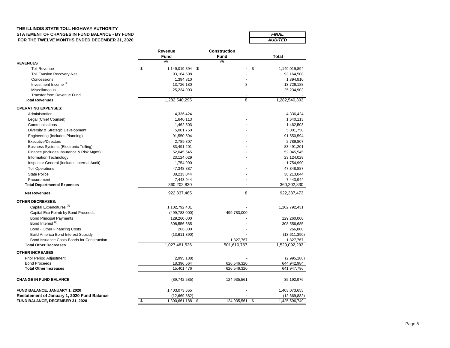### **THE ILLINOIS STATE TOLL HIGHWAY AUTHORITY** STATEMENT OF CHANGES IN FUND BALANCE - BY FUND  **FOR THE TWELVE MONTHS ENDED DECEMBER 31, 2020**

| <b>FINAL</b>   |  |
|----------------|--|
| <b>AUDITED</b> |  |

|                                              | Revenue             | <b>Construction</b> |                     |  |  |
|----------------------------------------------|---------------------|---------------------|---------------------|--|--|
|                                              | Fund                | <b>Fund</b>         | <b>Total</b>        |  |  |
| <b>REVENUES</b>                              | (6)                 | (5)                 |                     |  |  |
| <b>Toll Revenue</b>                          | \$<br>1,149,019,894 | -\$                 | \$<br>1,149,019,894 |  |  |
| <b>Toll Evasion Recovery-Net</b>             | 93,164,508          |                     | 93,164,508          |  |  |
| Concessions                                  | 1,394,810           |                     | 1,394,810           |  |  |
| Investment Income <sup>(8)</sup>             | 13,726,180          | 8                   | 13,726,188          |  |  |
| Miscellaneous                                | 25,234,903          |                     | 25,234,903          |  |  |
| <b>Transfer from Revenue Fund</b>            |                     |                     |                     |  |  |
| <b>Total Revenues</b>                        | 1,282,540,295       | 8                   | 1,282,540,303       |  |  |
| <b>OPERATING EXPENSES:</b>                   |                     |                     |                     |  |  |
| Administration                               | 4,336,424           |                     | 4,336,424           |  |  |
| Legal (Chief Counsel)                        | 1,640,113           |                     | 1,640,113           |  |  |
| Communications                               | 1,462,503           |                     | 1,462,503           |  |  |
| Diversity & Strategic Development            | 5,001,750           |                     | 5,001,750           |  |  |
| Engineering (Includes Planning)              | 91,550,594          |                     | 91,550,594          |  |  |
| <b>Executive/Directors</b>                   | 2,789,807           |                     | 2,789,807           |  |  |
| <b>Business Systems (Electronic Tolling)</b> | 83,491,201          |                     | 83,491,201          |  |  |
|                                              |                     |                     |                     |  |  |
| Finance (Includes Insurance & Risk Mgmt)     | 52,045,545          |                     | 52,045,545          |  |  |
| Information Technology                       | 23,124,029          |                     | 23,124,029          |  |  |
| Inspector General (Includes Internal Audit)  | 1,754,990           |                     | 1,754,990           |  |  |
| <b>Toll Operations</b>                       | 47,348,887          |                     | 47,348,887          |  |  |
| <b>State Police</b>                          | 38,213,044          |                     | 38,213,044          |  |  |
| Procurement                                  | 7,443,944           |                     | 7,443,944           |  |  |
| <b>Total Departmental Expenses</b>           | 360,202,830         | $\overline{a}$      | 360,202,830         |  |  |
| <b>Net Revenues</b>                          | 922,337,465         | 8                   | 922,337,473         |  |  |
| <b>OTHER DECREASES:</b>                      |                     |                     |                     |  |  |
| Capital Expenditures <sup>(1)</sup>          | 1,102,792,431       |                     | 1,102,792,431       |  |  |
| Capital Exp Reimb by Bond Proceeds           | (499, 783, 000)     | 499,783,000         |                     |  |  |
| <b>Bond Principal Payments</b>               | 129,260,000         |                     | 129,260,000         |  |  |
| Bond Interest <sup>(2)</sup>                 | 308,556,685         |                     | 308,556,685         |  |  |
| Bond - Other Financing Costs                 | 266,800             |                     | 266,800             |  |  |
| <b>Build America Bond Interest Subsidy</b>   | (13,611,390)        |                     | (13,611,390)        |  |  |
| Bond Issuance Costs-Bonds for Construction   |                     | 1,827,767           | 1,827,767           |  |  |
| <b>Total Other Decreases</b>                 | 1,027,481,526       | 501,610,767         | 1,529,092,293       |  |  |
| <b>OTHER INCREASES:</b>                      |                     |                     |                     |  |  |
| Prior Period Adjustment                      | (2,995,188)         |                     | (2,995,188)         |  |  |
| <b>Bond Proceeds</b>                         | 18,396,664          | 626,546,320         | 644,942,984         |  |  |
| <b>Total Other Increases</b>                 | 15,401,476          | 626,546,320         | 641,947,796         |  |  |
| <b>CHANGE IN FUND BALANCE</b>                | (89, 742, 585)      | 124,935,561         | 35,192,976          |  |  |
| FUND BALANCE, JANUARY 1, 2020                | 1,403,073,655       |                     | 1,403,073,655       |  |  |
| Restatement of January 1, 2020 Fund Balance  | (12,669,882)        |                     | (12,669,882)        |  |  |
| FUND BALANCE, DECEMBER 31, 2020              | \$<br>1,300,661,188 | 124,935,561<br>\$   | \$<br>1,425,596,749 |  |  |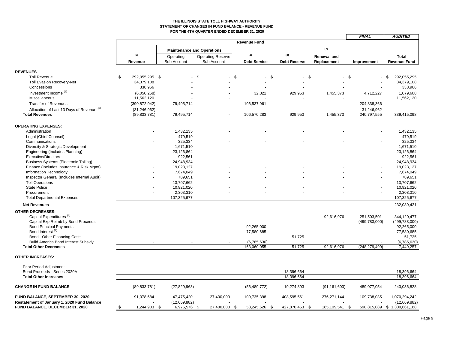#### **THE ILLINOIS STATE TOLL HIGHWAY AUTHORITY STATEMENT OF CHANGES IN FUND BALANCE - REVENUE FUND FOR THE 4TH QUARTER ENDED DECEMBER 31, 2020**

|                                                                                |     |                                  |      |                           |                                   |        |                     |                     |                    | <b>FINAL</b>              | <b>AUDITED</b>                  |
|--------------------------------------------------------------------------------|-----|----------------------------------|------|---------------------------|-----------------------------------|--------|---------------------|---------------------|--------------------|---------------------------|---------------------------------|
|                                                                                |     |                                  |      |                           |                                   |        | <b>Revenue Fund</b> |                     |                    |                           |                                 |
|                                                                                |     |                                  |      |                           | <b>Maintenance and Operations</b> |        |                     |                     | (7)                |                           |                                 |
|                                                                                |     | (6)                              |      | Operating                 | <b>Operating Reserve</b>          |        | (4)                 | (3)                 | <b>Renewal and</b> |                           | <b>Total</b>                    |
|                                                                                |     | Revenue                          |      | Sub Account               | Sub Account                       |        | <b>Debt Service</b> | <b>Debt Reserve</b> | Replacement        | Improvement               | <b>Revenue Fund</b>             |
| <b>REVENUES</b>                                                                |     |                                  |      |                           |                                   |        |                     |                     |                    |                           |                                 |
| <b>Toll Revenue</b>                                                            | \$  | 292,055,295 \$                   |      |                           | <b>\$</b>                         | - \$   | \$                  | \$                  |                    | -\$                       | 292,055,295<br>\$               |
| Toll Evasion Recovery-Net                                                      |     | 34,379,108                       |      |                           |                                   |        |                     |                     |                    |                           | 34,379,108                      |
| Concessions                                                                    |     | 338,966                          |      |                           |                                   |        |                     |                     |                    |                           | 338,966                         |
| Investment Income <sup>(8)</sup>                                               |     | (6,050,268)                      |      |                           |                                   |        | 32,322              | 929,953             | 1,455,373          | 4,712,227                 | 1,079,608                       |
| Miscellaneous                                                                  |     | 11,562,120                       |      |                           |                                   |        |                     |                     |                    |                           | 11,562,120                      |
| <b>Transfer of Revenues</b>                                                    |     | (390, 872, 042)                  |      | 79,495,714                |                                   |        | 106,537,961         |                     |                    | 204,838,366               |                                 |
|                                                                                |     |                                  |      |                           |                                   |        |                     |                     |                    |                           |                                 |
| Allocation of Last 13 Days of Revenue (6)<br><b>Total Revenues</b>             |     | (31, 246, 962)<br>(89, 833, 781) |      | 79,495,714                |                                   | $\sim$ | 106,570,283         | 929,953             | 1,455,373          | 31,246,962<br>240,797,555 | 339,415,098                     |
|                                                                                |     |                                  |      |                           |                                   |        |                     |                     |                    |                           |                                 |
| <b>OPERATING EXPENSES:</b>                                                     |     |                                  |      |                           |                                   |        |                     |                     |                    |                           |                                 |
| Administration                                                                 |     |                                  |      | 1,432,135                 |                                   |        |                     |                     |                    |                           | 1,432,135                       |
| Legal (Chief Counsel)                                                          |     |                                  |      | 479,519                   |                                   |        |                     |                     |                    |                           | 479,519                         |
| Communications                                                                 |     |                                  |      | 325,334                   |                                   |        |                     |                     |                    |                           | 325,334                         |
| Diversity & Strategic Development                                              |     |                                  |      | 1,671,510                 |                                   |        |                     |                     |                    |                           | 1,671,510                       |
| Engineering (Includes Planning)                                                |     |                                  |      | 23,126,864                |                                   |        |                     |                     |                    |                           | 23,126,864                      |
| <b>Executive/Directors</b>                                                     |     |                                  |      | 922,561                   |                                   |        |                     |                     |                    |                           | 922,561                         |
| Business Systems (Electronic Tolling)                                          |     |                                  |      | 24,948,934                |                                   |        |                     |                     |                    |                           | 24,948,934                      |
| Finance (Includes Insurance & Risk Mgmt)                                       |     |                                  |      | 19,023,127                |                                   |        |                     |                     |                    |                           | 19,023,127                      |
| Information Technology                                                         |     |                                  |      | 7,674,049                 |                                   |        |                     |                     |                    |                           | 7,674,049                       |
| Inspector General (Includes Internal Audit)                                    |     |                                  |      | 789,651                   |                                   |        |                     |                     |                    |                           | 789,651                         |
| <b>Toll Operations</b>                                                         |     |                                  |      | 13,707,662                |                                   |        |                     |                     |                    |                           | 13,707,662                      |
| <b>State Police</b>                                                            |     |                                  |      | 10,921,020                |                                   |        |                     |                     |                    |                           | 10,921,020                      |
| Procurement                                                                    |     |                                  |      | 2,303,310                 |                                   |        |                     |                     |                    |                           | 2,303,310                       |
| <b>Total Departmental Expenses</b>                                             |     | $\blacksquare$                   |      | 107,325,677               |                                   | $\sim$ | $\sim$              |                     | $\blacksquare$     | $\blacksquare$            | 107,325,677                     |
| <b>Net Revenues</b>                                                            |     |                                  |      |                           |                                   |        |                     |                     |                    |                           | 232,089,421                     |
| <b>OTHER DECREASES:</b>                                                        |     |                                  |      |                           |                                   |        |                     |                     |                    |                           |                                 |
| Capital Expenditures <sup>(1)</sup>                                            |     |                                  |      |                           |                                   |        |                     |                     | 92,616,976         | 251,503,501               | 344.120.477                     |
| Capital Exp Reimb by Bond Proceeds                                             |     |                                  |      |                           |                                   |        |                     |                     |                    | (499, 783, 000)           | (499, 783, 000)                 |
| <b>Bond Principal Payments</b>                                                 |     |                                  |      |                           |                                   |        | 92,265,000          |                     |                    |                           | 92,265,000                      |
| Bond Interest <sup>(2)</sup>                                                   |     |                                  |      |                           |                                   |        | 77,580,685          |                     |                    |                           | 77,580,685                      |
| Bond - Other Financing Costs                                                   |     |                                  |      |                           |                                   |        |                     | 51,725              |                    |                           | 51,725                          |
| <b>Build America Bond Interest Subsidy</b>                                     |     |                                  |      |                           |                                   |        | (6,785,630)         |                     |                    |                           | (6,785,630)                     |
| <b>Total Other Decreases</b>                                                   |     |                                  |      |                           |                                   |        | 163,060,055         | 51,725              | 92,616,976         | (248, 279, 499)           | 7,449,257                       |
| <b>OTHER INCREASES:</b>                                                        |     |                                  |      |                           |                                   |        |                     |                     |                    |                           |                                 |
| Prior Period Adjustment                                                        |     |                                  |      |                           |                                   |        |                     |                     |                    |                           |                                 |
| Bond Proceeds - Series 2020A                                                   |     |                                  |      |                           |                                   |        |                     | 18,396,664          |                    |                           | 18,396,664                      |
| <b>Total Other Increases</b>                                                   |     | $\sim$                           |      | ÷.                        |                                   | $\sim$ | $\sim$              | 18,396,664          | $\overline{a}$     | $\sim$                    | 18,396,664                      |
| <b>CHANGE IN FUND BALANCE</b>                                                  |     | (89, 833, 781)                   |      | (27, 829, 963)            |                                   |        | (56, 489, 772)      | 19,274,893          | (91, 161, 603)     | 489,077,054               | 243,036,828                     |
| FUND BALANCE, SEPTEMBER 30, 2020                                               |     | 91,078,684                       |      | 47,475,420                | 27,400,000                        |        | 109,735,398         | 408,595,561         | 276, 271, 144      | 109,738,035               | 1,070,294,242                   |
| Restatement of January 1, 2020 Fund Balance<br>FUND BALANCE, DECEMBER 31, 2020 | -\$ | 1,244,903                        | - \$ | (12,669,882)<br>6,975,576 | 27,400,000                        | \$     | 53,245,626<br>\$    | 427,870,453<br>\$   | 185,109,541        | 598,815,089<br>-\$        | (12,669,882)<br>\$1,300,661,188 |
|                                                                                |     |                                  |      |                           |                                   |        |                     |                     |                    |                           |                                 |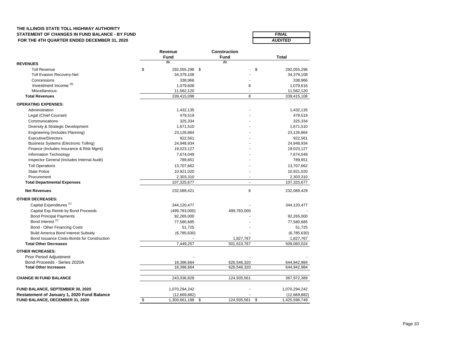# **THE ILLINOIS STATE TOLL HIGHWAY AUTHORITY** STATEMENT OF CHANGES IN FUND BALANCE - BY FUND<br>
FOR THE 4TH QUARTER ENDED DECEMBER 31, 2020  **FOR THE 4TH QUARTER ENDED DECEMBER 31, 2020**

| <b>FINAL</b>   |
|----------------|
| <b>AUDITED</b> |

|                                                    | Revenue<br>Fund      | <b>Construction</b><br>Fund | Total               |
|----------------------------------------------------|----------------------|-----------------------------|---------------------|
| <b>REVENUES</b>                                    | (6)                  | (5)                         |                     |
| <b>Toll Revenue</b>                                | \$<br>292,055,296 \$ |                             | \$<br>292,055,296   |
| <b>Toll Evasion Recovery-Net</b>                   | 34,379,108           |                             | 34,379,108          |
| Concessions                                        | 338,966              |                             | 338,966             |
| Investment Income <sup>(8)</sup>                   | 1,079,608            | 8                           | 1,079,616           |
| Miscellaneous                                      | 11,562,120           | ÷,                          | 11,562,120          |
| <b>Total Revenues</b>                              | 339,415,098          | 8                           | 339,415,106         |
| <b>OPERATING EXPENSES:</b>                         |                      |                             |                     |
| Administration                                     | 1,432,135            |                             | 1,432,135           |
| Legal (Chief Counsel)                              | 479,519              |                             | 479,519             |
| Communications                                     | 325,334              |                             | 325,334             |
| Diversity & Strategic Development                  | 1,671,510            |                             | 1,671,510           |
| Engineering (Includes Planning)                    | 23,126,864           |                             | 23,126,864          |
| <b>Executive/Directors</b>                         | 922.561              |                             | 922.561             |
| <b>Business Systems (Electronic Tolling)</b>       | 24,948,934           |                             | 24,948,934          |
| Finance (Includes Insurance & Risk Mgmt)           | 19,023,127           |                             | 19,023,127          |
| Information Technology                             | 7,674,049            |                             | 7,674,049           |
| Inspector General (Includes Internal Audit)        | 789,651              |                             | 789,651             |
| <b>Toll Operations</b>                             | 13,707,662           |                             | 13,707,662          |
| <b>State Police</b>                                | 10,921,020           |                             | 10,921,020          |
| Procurement                                        | 2,303,310            |                             | 2,303,310           |
| <b>Total Departmental Expenses</b>                 | 107,325,677          | $\blacksquare$              | 107,325,677         |
| <b>Net Revenues</b>                                | 232,089,421          | 8                           | 232,089,429         |
| <b>OTHER DECREASES:</b>                            |                      |                             |                     |
| Capital Expenditures <sup>(1)</sup>                | 344,120,477          |                             | 344,120,477         |
| Capital Exp Reimb by Bond Proceeds                 | (499, 783, 000)      | 499,783,000                 |                     |
| <b>Bond Principal Payments</b>                     | 92,265,000           |                             | 92,265,000          |
| Bond Interest <sup>(2)</sup>                       | 77,580,685           |                             | 77,580,685          |
| Bond - Other Financing Costs                       | 51,725               |                             | 51,725              |
| <b>Build America Bond Interest Subsidy</b>         | (6,785,630)          |                             | (6,785,630)         |
| Bond Issuance Costs-Bonds for Construction         |                      | 1,827,767                   | 1,827,767           |
| <b>Total Other Decreases</b>                       | 7,449,257            | 501,610,767                 | 509,060,024         |
| <b>OTHER INCREASES:</b>                            |                      |                             |                     |
| <b>Prior Period Adjustment</b>                     |                      |                             |                     |
| Bond Proceeds - Series 2020A                       | 18,396,664           | 626,546,320                 | 644,942,984         |
| <b>Total Other Increases</b>                       | 18,396,664           | 626,546,320                 | 644,942,984         |
| <b>CHANGE IN FUND BALANCE</b>                      | 243,036,828          | 124,935,561                 | 367,972,389         |
| FUND BALANCE, SEPTEMBER 30, 2020                   | 1,070,294,242        |                             | 1,070,294,242       |
| <b>Restatement of January 1, 2020 Fund Balance</b> | (12,669,882)         |                             | (12,669,882)        |
| FUND BALANCE, DECEMBER 31, 2020                    | \$<br>1,300,661,188  | 124,935,561<br>\$           | \$<br>1,425,596,749 |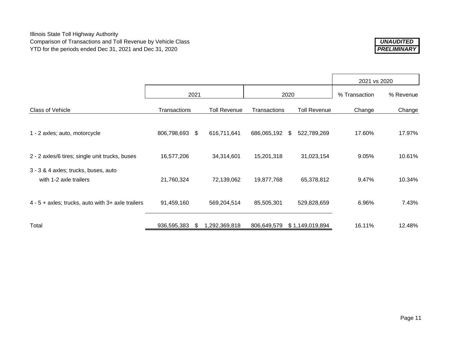

|                                                                |                |    |                     |              |    | 2021 vs 2020        |           |        |
|----------------------------------------------------------------|----------------|----|---------------------|--------------|----|---------------------|-----------|--------|
|                                                                | 2021           |    | 2020                |              |    | % Transaction       | % Revenue |        |
| Class of Vehicle                                               | Transactions   |    | <b>Toll Revenue</b> | Transactions |    | <b>Toll Revenue</b> | Change    | Change |
| 1 - 2 axles; auto, motorcycle                                  | 806,798,693 \$ |    | 616,711,641         | 686,065,192  | \$ | 522,789,269         | 17.60%    | 17.97% |
| 2 - 2 axles/6 tires; single unit trucks, buses                 | 16,577,206     |    | 34,314,601          | 15,201,318   |    | 31,023,154          | 9.05%     | 10.61% |
| 3 - 3 & 4 axles; trucks, buses, auto<br>with 1-2 axle trailers | 21,760,324     |    | 72,139,062          | 19,877,768   |    | 65,378,812          | 9.47%     | 10.34% |
| $4 - 5 +$ axles; trucks, auto with $3 +$ axle trailers         | 91,459,160     |    | 569,204,514         | 85,505,301   |    | 529,828,659         | 6.96%     | 7.43%  |
| Total                                                          | 936,595,383    | -S | 1,292,369,818       | 806,649,579  |    | \$1,149,019,894     | 16.11%    | 12.48% |